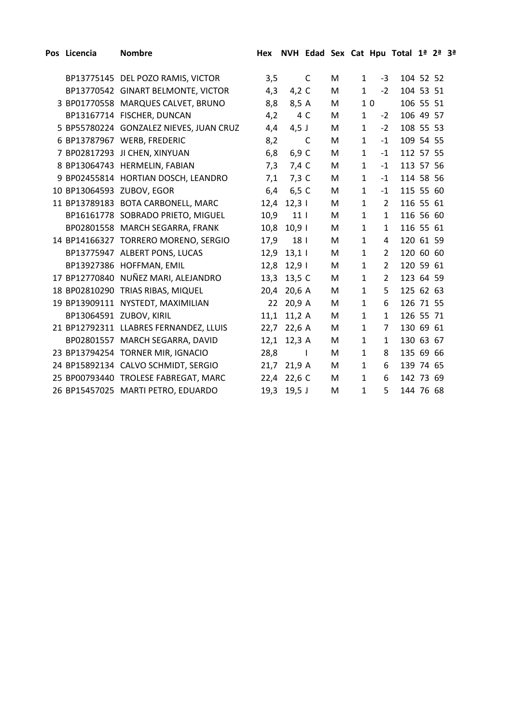| Pos Licencia | <b>Nombre</b>                           | Hex  |                 |              |   |              |                | NVH Edad Sex Cat Hpu Total 1ª 2ª 3ª |  |  |
|--------------|-----------------------------------------|------|-----------------|--------------|---|--------------|----------------|-------------------------------------|--|--|
|              |                                         |      |                 |              |   |              |                |                                     |  |  |
|              | BP13775145 DEL POZO RAMIS, VICTOR       | 3,5  |                 | C            | M | $\mathbf{1}$ | $-3$           | 104 52 52                           |  |  |
|              | BP13770542 GINART BELMONTE, VICTOR      | 4,3  | 4,2 $C$         |              | M | $\mathbf{1}$ | $-2$           | 104 53 51                           |  |  |
|              | 3 BP01770558 MARQUES CALVET, BRUNO      | 8,8  | 8,5 A           |              | M |              | 10             | 106 55 51                           |  |  |
|              | BP13167714 FISCHER, DUNCAN              | 4,2  |                 | 4 C          | M | $\mathbf{1}$ | $-2$           | 106 49 57                           |  |  |
|              | 5 BP55780224 GONZALEZ NIEVES, JUAN CRUZ | 4,4  | $4,5$ J         |              | M | $\mathbf{1}$ | $-2$           | 108 55 53                           |  |  |
|              | 6 BP13787967 WERB, FREDERIC             | 8,2  |                 | C            | М | $\mathbf{1}$ | $-1$           | 109 54 55                           |  |  |
|              | 7 BP02817293 JI CHEN, XINYUAN           | 6,8  | 6,9 C           |              | M | $\mathbf{1}$ | $-1$           | 112 57 55                           |  |  |
|              | 8 BP13064743 HERMELIN, FABIAN           | 7,3  | 7,4 C           |              | M | $\mathbf{1}$ | $-1$           | 113 57 56                           |  |  |
|              | 9 BP02455814 HORTIAN DOSCH, LEANDRO     | 7,1  | $7,3$ C         |              | M | $\mathbf{1}$ | $-1$           | 114 58 56                           |  |  |
|              | 10 BP13064593 ZUBOV, EGOR               | 6,4  | 6,5 C           |              | M | $\mathbf{1}$ | $-1$           | 115 55 60                           |  |  |
|              | 11 BP13789183 BOTA CARBONELL, MARC      | 12,4 | 12,31           |              | M | $\mathbf{1}$ | $\overline{2}$ | 116 55 61                           |  |  |
|              | BP16161778 SOBRADO PRIETO, MIGUEL       | 10,9 | 11 <sub>1</sub> |              | M | $\mathbf{1}$ | $\mathbf{1}$   | 116 56 60                           |  |  |
|              | BP02801558 MARCH SEGARRA, FRANK         | 10,8 | 10,91           |              | M | $\mathbf{1}$ | $\mathbf{1}$   | 116 55 61                           |  |  |
|              | 14 BP14166327 TORRERO MORENO, SERGIO    | 17,9 | 18              |              | M | $\mathbf{1}$ | 4              | 120 61 59                           |  |  |
|              | BP13775947 ALBERT PONS, LUCAS           | 12,9 | 13,11           |              | M | $\mathbf{1}$ | 2              | 120 60 60                           |  |  |
|              | BP13927386 HOFFMAN, EMIL                | 12,8 | 12,91           |              | M | $\mathbf{1}$ | 2              | 120 59 61                           |  |  |
|              | 17 BP12770840 NUÑEZ MARI, ALEJANDRO     | 13,3 | 13,5 C          |              | M | $\mathbf{1}$ | $\overline{2}$ | 123 64 59                           |  |  |
|              | 18 BP02810290 TRIAS RIBAS, MIQUEL       | 20,4 | 20,6 A          |              | M | $\mathbf{1}$ | 5              | 125 62 63                           |  |  |
|              | 19 BP13909111 NYSTEDT, MAXIMILIAN       | 22   | 20,9 A          |              | M | $\mathbf{1}$ | 6              | 126 71 55                           |  |  |
|              | BP13064591 ZUBOV, KIRIL                 | 11,1 | 11,2A           |              | M | $\mathbf{1}$ | $\mathbf{1}$   | 126 55 71                           |  |  |
|              | 21 BP12792311 LLABRES FERNANDEZ, LLUIS  | 22,7 | 22,6 A          |              | M | $\mathbf{1}$ | $\overline{7}$ | 130 69 61                           |  |  |
|              | BP02801557 MARCH SEGARRA, DAVID         |      | 12,1 12,3 A     |              | M | $\mathbf{1}$ | $\mathbf{1}$   | 130 63 67                           |  |  |
|              | 23 BP13794254 TORNER MIR, IGNACIO       | 28,8 |                 | $\mathbf{I}$ | M | $\mathbf{1}$ | 8              | 135 69 66                           |  |  |
|              | 24 BP15892134 CALVO SCHMIDT, SERGIO     | 21,7 | 21,9 A          |              | M | $\mathbf{1}$ | 6              | 139 74 65                           |  |  |
|              | 25 BP00793440 TROLESE FABREGAT, MARC    |      | 22,4 22,6 C     |              | M | $\mathbf{1}$ | 6              | 142 73 69                           |  |  |
|              | 26 BP15457025 MARTI PETRO, EDUARDO      |      | 19,3 19,5 J     |              | M | $\mathbf 1$  | 5              | 144 76 68                           |  |  |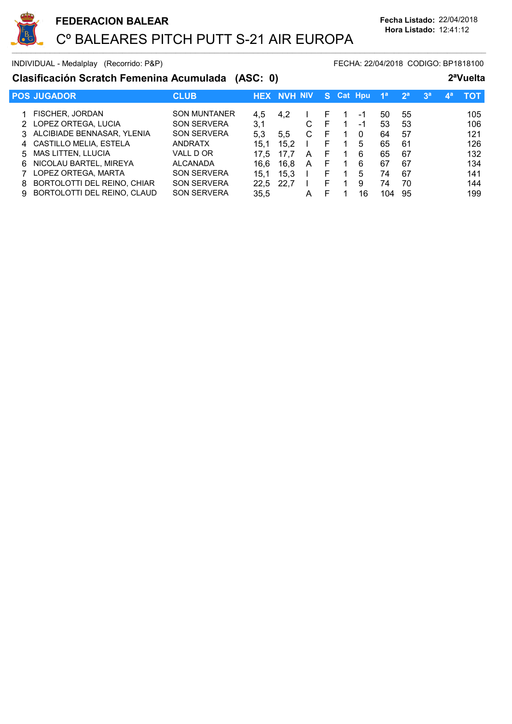

INDIVIDUAL - Medalplay (Recorrido: P&P) FECHA: 22/04/2018 CODIGO: BP1818100

## Clasificación Scratch Femenina Acumulada (ASC: 0) 2ªVuelta

|    | <b>POS JUGADOR</b>            | <b>CLUB</b>         | <b>HEX</b> | . NVH NIV |   | <b>S7</b> | <b>Cat Hpu</b> |    | 1 <sup>a</sup> | 2 <sup>a</sup> | 3 <sup>a</sup> | $\mathbf{A}^{\mathbf{a}}$ | τοτ |
|----|-------------------------------|---------------------|------------|-----------|---|-----------|----------------|----|----------------|----------------|----------------|---------------------------|-----|
|    |                               |                     |            |           |   |           |                |    |                |                |                |                           |     |
|    | <b>FISCHER, JORDAN</b>        | <b>SON MUNTANER</b> | 4.5        | 4.2       |   | F         |                | -1 | 50             | 55             |                |                           | 105 |
|    | 2 LOPEZ ORTEGA, LUCIA         | <b>SON SERVERA</b>  | 3,1        |           | С | F         |                | -1 | 53             | 53             |                |                           | 106 |
|    | 3 ALCIBIADE BENNASAR, YLENIA  | <b>SON SERVERA</b>  | 5.3        | 5.5       | C | F         |                | 0  | 64             | 57             |                |                           | 121 |
|    | 4 CASTILLO MELIA, ESTELA      | <b>ANDRATX</b>      | 15.1       | 15.2      |   | F.        |                | 5  | 65             | -61            |                |                           | 126 |
|    | 5 MAS LITTEN, LLUCIA          | VALL D OR           | 17.5       |           | A | F         |                | 6  | 65             | 67             |                |                           | 132 |
| 6. | NICOLAU BARTEL, MIREYA        | <b>ALCANADA</b>     | 16.6       | 16,8      | A | F         |                | 6  | 67             | 67             |                |                           | 134 |
|    | LOPEZ ORTEGA, MARTA           | <b>SON SERVERA</b>  | 15.1       | 15.3      |   | F.        |                | 5  | 74             | 67             |                |                           | 141 |
| 8. | BORTOLOTTI DEL REINO, CHIAR   | <b>SON SERVERA</b>  | 22.5       | 22.7      |   | F         |                | 9  | 74             | 70             |                |                           | 144 |
|    | 9 BORTOLOTTI DEL REINO, CLAUD | <b>SON SERVERA</b>  | 35,5       |           | A | F         |                | 16 | 104            | 95             |                |                           | 199 |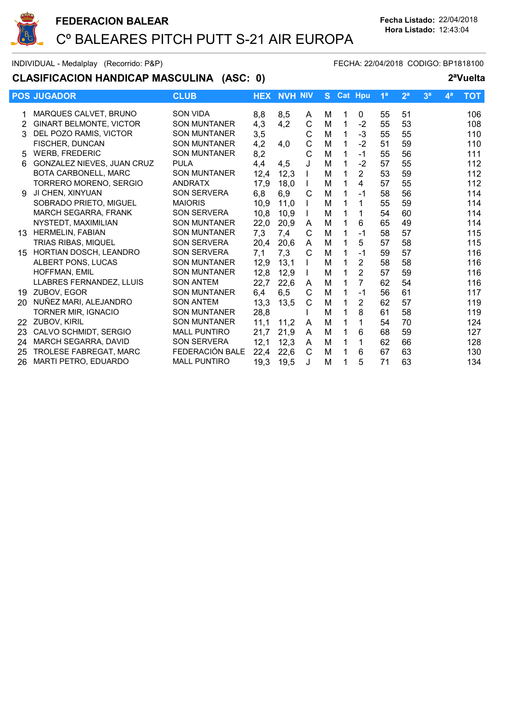

INDIVIDUAL - Medalplay (Recorrido: P&P) FECHA: 22/04/2018 CODIGO: BP1818100

## CLASIFICACION HANDICAP MASCULINA (ASC: 0) 2<sup>a</sup>Vuelta

|    | <b>POS JUGADOR</b>             | <b>CLUB</b>         | <b>HEX</b> | <b>NVH NIV</b> |   | S. |   | Cat Hpu        | 1 <sup>a</sup> | 2 <sup>a</sup> | 3 <sup>a</sup> | 4 <sup>a</sup> | <b>TOT</b> |
|----|--------------------------------|---------------------|------------|----------------|---|----|---|----------------|----------------|----------------|----------------|----------------|------------|
|    | MARQUES CALVET, BRUNO          | <b>SON VIDA</b>     | 8,8        | 8,5            | A | м  |   | 0              | 55             | 51             |                |                | 106        |
| 2  | <b>GINART BELMONTE, VICTOR</b> | <b>SON MUNTANER</b> | 4,3        | 4,2            | C | M  | 1 | $-2$           | 55             | 53             |                |                | 108        |
| 3  | DEL POZO RAMIS, VICTOR         | <b>SON MUNTANER</b> | 3,5        |                | C | M  | 1 | $-3$           | 55             | 55             |                |                | 110        |
|    | FISCHER, DUNCAN                | <b>SON MUNTANER</b> | 4,2        | 4,0            | C | M  |   | $-2$           | 51             | 59             |                |                | 110        |
| 5  | <b>WERB, FREDERIC</b>          | <b>SON MUNTANER</b> | 8,2        |                | С | M  |   | $-1$           | 55             | 56             |                |                | 111        |
| 6  | GONZALEZ NIEVES, JUAN CRUZ     | <b>PULA</b>         | 4,4        | 4,5            | J | M  |   | $-2$           | 57             | 55             |                |                | 112        |
|    | <b>BOTA CARBONELL, MARC</b>    | <b>SON MUNTANER</b> | 12,4       | 12,3           |   | M  |   | $\overline{2}$ | 53             | 59             |                |                | 112        |
|    | TORRERO MORENO, SERGIO         | <b>ANDRATX</b>      | 17,9       | 18,0           |   | M  |   | $\overline{4}$ | 57             | 55             |                |                | 112        |
| 9  | JI CHEN, XINYUAN               | <b>SON SERVERA</b>  | 6,8        | 6,9            | C | M  |   | $-1$           | 58             | 56             |                |                | 114        |
|    | SOBRADO PRIETO, MIGUEL         | <b>MAIORIS</b>      | 10,9       | 11,0           |   | M  |   | 1              | 55             | 59             |                |                | 114        |
|    | <b>MARCH SEGARRA, FRANK</b>    | <b>SON SERVERA</b>  | 10,8       | 10,9           |   | M  |   | 1              | 54             | 60             |                |                | 114        |
|    | NYSTEDT, MAXIMILIAN            | <b>SON MUNTANER</b> | 22,0       | 20,9           | A | M  |   | 6              | 65             | 49             |                |                | 114        |
| 13 | <b>HERMELIN, FABIAN</b>        | <b>SON MUNTANER</b> | 7,3        | 7,4            | С | M  |   | $-1$           | 58             | 57             |                |                | 115        |
|    | <b>TRIAS RIBAS, MIQUEL</b>     | <b>SON SERVERA</b>  | 20,4       | 20,6           | A | M  |   | 5              | 57             | 58             |                |                | 115        |
| 15 | <b>HORTIAN DOSCH, LEANDRO</b>  | <b>SON SERVERA</b>  | 7,1        | 7,3            | C | M  |   | $-1$           | 59             | 57             |                |                | 116        |
|    | ALBERT PONS, LUCAS             | <b>SON MUNTANER</b> | 12,9       | 13,1           |   | M  |   | $\overline{2}$ | 58             | 58             |                |                | 116        |
|    | HOFFMAN, EMIL                  | <b>SON MUNTANER</b> | 12,8       | 12,9           |   | M  |   | $\overline{2}$ | 57             | 59             |                |                | 116        |
|    | LLABRES FERNANDEZ, LLUIS       | <b>SON ANTEM</b>    | 22,7       | 22,6           | A | M  |   | $\overline{7}$ | 62             | 54             |                |                | 116        |
| 19 | ZUBOV, EGOR                    | <b>SON MUNTANER</b> | 6,4        | 6, 5           | C | M  |   | $-1$           | 56             | 61             |                |                | 117        |
| 20 | NUÑEZ MARI, ALEJANDRO          | <b>SON ANTEM</b>    | 13,3       | 13,5           | C | M  |   | $\overline{2}$ | 62             | 57             |                |                | 119        |
|    | TORNER MIR, IGNACIO            | <b>SON MUNTANER</b> | 28,8       |                |   | M  |   | 8              | 61             | 58             |                |                | 119        |
| 22 | ZUBOV, KIRIL                   | <b>SON MUNTANER</b> | 11,1       | 11.2           | A | M  |   | 1              | 54             | 70             |                |                | 124        |
| 23 | CALVO SCHMIDT, SERGIO          | <b>MALL PUNTIRO</b> | 21,7       | 21,9           | A | M  |   | 6              | 68             | 59             |                |                | 127        |
| 24 | MARCH SEGARRA, DAVID           | <b>SON SERVERA</b>  | 12,1       | 12,3           | A | M  | 1 | 1              | 62             | 66             |                |                | 128        |
| 25 | <b>TROLESE FABREGAT, MARC</b>  | FEDERACIÓN BALE     | 22,4       | 22,6           | C | M  |   | 6              | 67             | 63             |                |                | 130        |
| 26 | MARTI PETRO, EDUARDO           | <b>MALL PUNTIRO</b> | 19,3       | 19,5           | J | M  |   | 5              | 71             | 63             |                |                | 134        |